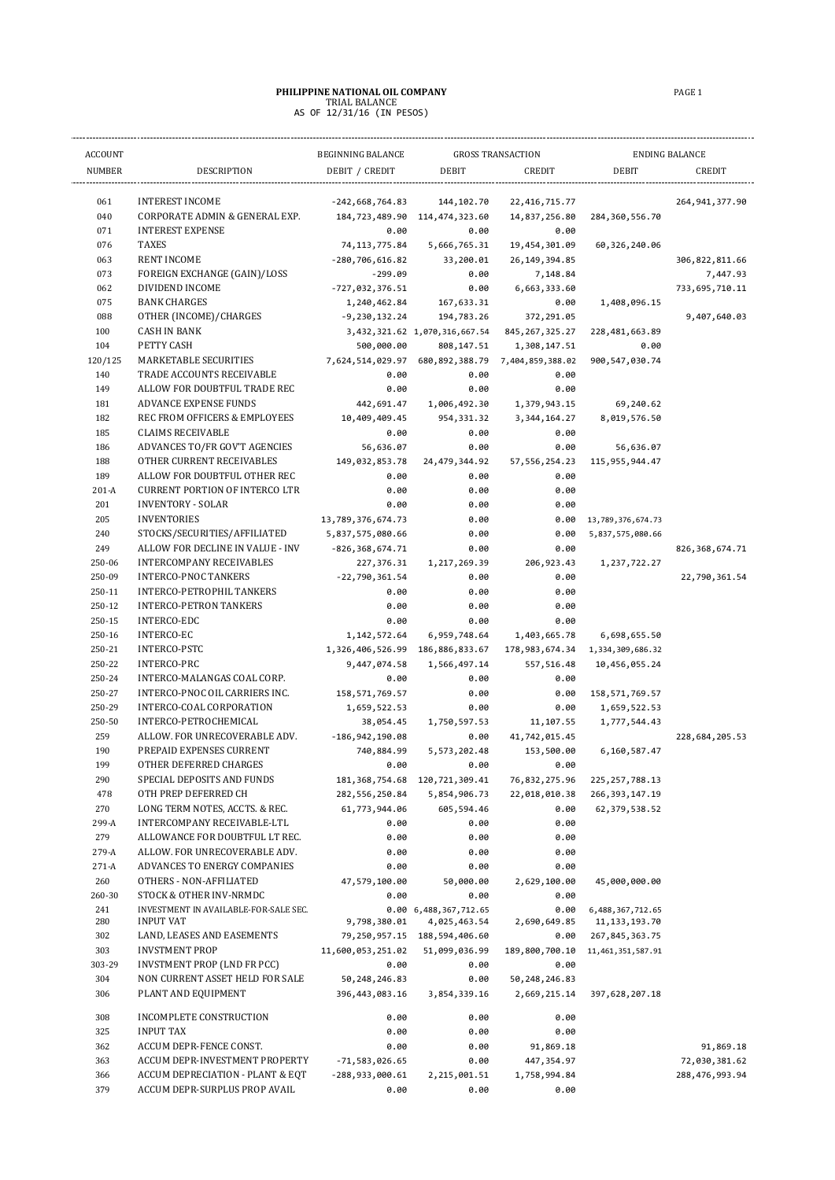## **PHILIPPINE NATIONAL OIL COMPANY** PAGE 1<br>
TRIAL BALANCE<br>
AS OF 12/31/16 (IN PESOS)

| <b>ACCOUNT</b>   |                                                                | <b>GROSS TRANSACTION</b><br>BEGINNING BALANCE |                                     |                                   | <b>ENDING BALANCE</b>     |                                 |
|------------------|----------------------------------------------------------------|-----------------------------------------------|-------------------------------------|-----------------------------------|---------------------------|---------------------------------|
| <b>NUMBER</b>    | <b>DESCRIPTION</b>                                             | DEBIT / CREDIT                                | DEBIT                               | CREDIT                            | <b>DEBIT</b>              | <b>CREDIT</b>                   |
|                  |                                                                |                                               |                                     |                                   |                           |                                 |
| 061<br>040       | <b>INTEREST INCOME</b><br>CORPORATE ADMIN & GENERAL EXP.       | $-242,668,764.83$<br>184,723,489.90           | 144, 102. 70<br>114,474,323.60      | 22, 416, 715. 77<br>14,837,256.80 | 284, 360, 556.70          | 264, 941, 377.90                |
| 071              | <b>INTEREST EXPENSE</b>                                        | 0.00                                          | 0.00                                | 0.00                              |                           |                                 |
| 076              | <b>TAXES</b>                                                   | 74, 113, 775.84                               | 5,666,765.31                        | 19,454,301.09                     | 60, 326, 240.06           |                                 |
| 063              | <b>RENT INCOME</b>                                             | $-280,706,616.82$                             | 33,200.01                           | 26, 149, 394.85                   |                           | 306,822,811.66                  |
| 073              | FOREIGN EXCHANGE (GAIN)/LOSS                                   | $-299.09$                                     | 0.00                                | 7,148.84                          |                           | 7,447.93                        |
| 062              | DIVIDEND INCOME                                                | $-727,032,376.51$                             | 0.00                                | 6,663,333.60                      |                           | 733,695,710.11                  |
| 075              | <b>BANK CHARGES</b>                                            | 1,240,462.84                                  | 167,633.31                          | 0.00                              | 1,408,096.15              |                                 |
| 088              | OTHER (INCOME)/CHARGES                                         | $-9,230,132.24$                               | 194,783.26                          | 372,291.05                        |                           | 9,407,640.03                    |
| 100              | <b>CASH IN BANK</b>                                            |                                               | 3,432,321.62 1,070,316,667.54       | 845, 267, 325.27                  | 228,481,663.89            |                                 |
| 104              | PETTY CASH                                                     | 500,000.00                                    | 808,147.51                          | 1,308,147.51                      | 0.00                      |                                 |
| 120/125          | MARKETABLE SECURITIES                                          | 7,624,514,029.97                              | 680,892,388.79                      | 7,404,859,388.02                  | 900,547,030.74            |                                 |
| 140              | TRADE ACCOUNTS RECEIVABLE                                      | 0.00                                          | 0.00                                | 0.00                              |                           |                                 |
| 149<br>181       | ALLOW FOR DOUBTFUL TRADE REC<br><b>ADVANCE EXPENSE FUNDS</b>   | 0.00<br>442,691.47                            | 0.00                                | 0.00                              |                           |                                 |
| 182              | REC FROM OFFICERS & EMPLOYEES                                  | 10,409,409.45                                 | 1,006,492.30<br>954, 331.32         | 1,379,943.15<br>3, 344, 164. 27   | 69,240.62<br>8,019,576.50 |                                 |
| 185              | <b>CLAIMS RECEIVABLE</b>                                       | 0.00                                          | 0.00                                | 0.00                              |                           |                                 |
| 186              | ADVANCES TO/FR GOV'T AGENCIES                                  | 56,636.07                                     | 0.00                                | 0.00                              | 56,636.07                 |                                 |
| 188              | OTHER CURRENT RECEIVABLES                                      | 149,032,853.78                                | 24,479,344.92                       | 57, 556, 254. 23                  | 115, 955, 944.47          |                                 |
| 189              | ALLOW FOR DOUBTFUL OTHER REC                                   | 0.00                                          | 0.00                                | 0.00                              |                           |                                 |
| $201-A$          | <b>CURRENT PORTION OF INTERCO LTR</b>                          | 0.00                                          | 0.00                                | 0.00                              |                           |                                 |
| 201              | <b>INVENTORY - SOLAR</b>                                       | 0.00                                          | 0.00                                | 0.00                              |                           |                                 |
| 205              | <b>INVENTORIES</b>                                             | 13,789,376,674.73                             | 0.00                                | 0.00                              | 13,789,376,674.73         |                                 |
| 240              | STOCKS/SECURITIES/AFFILIATED                                   | 5,837,575,080.66                              | 0.00                                | 0.00                              | 5,837,575,080.66          |                                 |
| 249              | ALLOW FOR DECLINE IN VALUE - INV                               | $-826, 368, 674.71$                           | 0.00                                | 0.00                              |                           | 826, 368, 674.71                |
| 250-06           | <b>INTERCOMPANY RECEIVABLES</b>                                | 227,376.31                                    | 1, 217, 269.39                      | 206,923.43                        | 1, 237, 722. 27           |                                 |
| 250-09           | <b>INTERCO-PNOC TANKERS</b>                                    | $-22,790,361.54$                              | 0.00                                | 0.00                              |                           | 22,790,361.54                   |
| 250-11           | INTERCO-PETROPHIL TANKERS                                      | 0.00                                          | 0.00                                | 0.00                              |                           |                                 |
| 250-12<br>250-15 | <b>INTERCO-PETRON TANKERS</b><br>INTERCO-EDC                   | 0.00                                          | 0.00                                | 0.00                              |                           |                                 |
| 250-16           | <b>INTERCO-EC</b>                                              | 0.00<br>1, 142, 572.64                        | 0.00<br>6,959,748.64                | 0.00<br>1,403,665.78              | 6,698,655.50              |                                 |
| 250-21           | INTERCO-PSTC                                                   | 1,326,406,526.99                              | 186,886,833.67                      | 178,983,674.34                    | 1,334,309,686.32          |                                 |
| 250-22           | INTERCO-PRC                                                    | 9,447,074.58                                  | 1,566,497.14                        | 557,516.48                        | 10,456,055.24             |                                 |
| 250-24           | INTERCO-MALANGAS COAL CORP.                                    | 0.00                                          | 0.00                                | 0.00                              |                           |                                 |
| 250-27           | INTERCO-PNOC OIL CARRIERS INC.                                 | 158, 571, 769. 57                             | 0.00                                | 0.00                              | 158,571,769.57            |                                 |
| 250-29           | INTERCO-COAL CORPORATION                                       | 1,659,522.53                                  | 0.00                                | 0.00                              | 1,659,522.53              |                                 |
| 250-50           | INTERCO-PETROCHEMICAL                                          | 38,054.45                                     | 1,750,597.53                        | 11,107.55                         | 1,777,544.43              |                                 |
| 259              | ALLOW. FOR UNRECOVERABLE ADV.                                  | $-186, 942, 190.08$                           | 0.00                                | 41,742,015.45                     |                           | 228,684,205.53                  |
| 190              | PREPAID EXPENSES CURRENT                                       | 740,884.99                                    | 5,573,202.48                        | 153,500.00                        | 6,160,587.47              |                                 |
| 199              | OTHER DEFERRED CHARGES                                         | 0.00                                          | 0.00                                | 0.00                              |                           |                                 |
| 290              | SPECIAL DEPOSITS AND FUNDS                                     |                                               | 181, 368, 754. 68 120, 721, 309. 41 | 76,832,275.96                     | 225, 257, 788.13          |                                 |
| 478              | OTH PREP DEFERRED CH                                           | 282, 556, 250.84                              | 5,854,906.73                        | 22,018,010.38                     | 266, 393, 147.19          |                                 |
| 270<br>299-A     | LONG TERM NOTES, ACCTS. & REC.<br>INTERCOMPANY RECEIVABLE-LTL  | 61,773,944.06<br>0.00                         | 605,594.46<br>0.00                  | 0.00<br>0.00                      | 62, 379, 538.52           |                                 |
| 279              | ALLOWANCE FOR DOUBTFUL LT REC.                                 | 0.00                                          | 0.00                                | 0.00                              |                           |                                 |
| 279-A            | ALLOW. FOR UNRECOVERABLE ADV.                                  | 0.00                                          | 0.00                                | 0.00                              |                           |                                 |
| $271-A$          | ADVANCES TO ENERGY COMPANIES                                   | 0.00                                          | 0.00                                | 0.00                              |                           |                                 |
| 260              | OTHERS - NON-AFFILIATED                                        | 47,579,100.00                                 | 50,000.00                           | 2,629,100.00                      | 45,000,000.00             |                                 |
| 260-30           | STOCK & OTHER INV-NRMDC                                        | 0.00                                          | 0.00                                | 0.00                              |                           |                                 |
| 241              | INVESTMENT IN AVAILABLE-FOR-SALE SEC.                          |                                               | 0.00 6,488,367,712.65               | 0.00                              | 6,488,367,712.65          |                                 |
| 280              | INPUT VAT                                                      | 9,798,380.01                                  | 4,025,463.54                        | 2,690,649.85                      | 11, 133, 193. 70          |                                 |
| 302              | LAND, LEASES AND EASEMENTS                                     | 79,250,957.15                                 | 188,594,406.60                      | 0.00                              | 267, 845, 363.75          |                                 |
| 303              | <b>INVSTMENT PROP</b>                                          | 11,600,053,251.02                             | 51,099,036.99                       | 189,800,700.10                    | 11,461,351,587.91         |                                 |
| 303-29<br>304    | INVSTMENT PROP (LND FR PCC)<br>NON CURRENT ASSET HELD FOR SALE | 0.00<br>50, 248, 246.83                       | 0.00<br>0.00                        | 0.00<br>50, 248, 246.83           |                           |                                 |
| 306              | PLANT AND EQUIPMENT                                            | 396,443,083.16                                | 3,854,339.16                        | 2,669,215.14                      | 397,628,207.18            |                                 |
|                  |                                                                |                                               |                                     |                                   |                           |                                 |
| 308              | INCOMPLETE CONSTRUCTION                                        | 0.00                                          | 0.00                                | 0.00                              |                           |                                 |
| 325              | <b>INPUT TAX</b>                                               | 0.00                                          | 0.00                                | 0.00                              |                           |                                 |
| 362<br>363       | ACCUM DEPR-FENCE CONST.<br>ACCUM DEPR-INVESTMENT PROPERTY      | 0.00                                          | 0.00                                | 91,869.18                         |                           | 91,869.18                       |
| 366              | ACCUM DEPRECIATION - PLANT & EQT                               | $-71,583,026.65$<br>$-288,933,000.61$         | 0.00<br>2,215,001.51                | 447, 354.97<br>1,758,994.84       |                           | 72,030,381.62<br>288,476,993.94 |
| 379              | ACCUM DEPR-SURPLUS PROP AVAIL                                  | 0.00                                          | 0.00                                | 0.00                              |                           |                                 |
|                  |                                                                |                                               |                                     |                                   |                           |                                 |